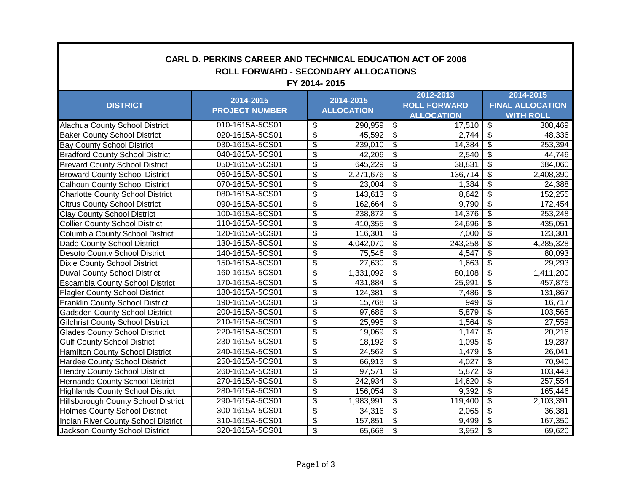| <b>CARL D. PERKINS CAREER AND TECHNICAL EDUCATION ACT OF 2006</b><br><b>ROLL FORWARD - SECONDARY ALLOCATIONS</b><br>FY 2014-2015 |                                    |                          |                                |                          |                                          |                                  |                                             |  |
|----------------------------------------------------------------------------------------------------------------------------------|------------------------------------|--------------------------|--------------------------------|--------------------------|------------------------------------------|----------------------------------|---------------------------------------------|--|
|                                                                                                                                  |                                    |                          |                                | 2012-2013                |                                          | 2014-2015                        |                                             |  |
| <b>DISTRICT</b>                                                                                                                  | 2014-2015<br><b>PROJECT NUMBER</b> |                          | 2014-2015<br><b>ALLOCATION</b> |                          | <b>ROLL FORWARD</b><br><b>ALLOCATION</b> |                                  | <b>FINAL ALLOCATION</b><br><b>WITH ROLL</b> |  |
|                                                                                                                                  |                                    |                          |                                |                          |                                          |                                  |                                             |  |
| <b>Alachua County School District</b>                                                                                            | 010-1615A-5CS01                    | \$                       | 290,959                        | $\overline{\mathbf{3}}$  | 17,510                                   | $\overline{\mathcal{S}}$         | 308,469                                     |  |
| <b>Baker County School District</b>                                                                                              | 020-1615A-5CS01                    | \$                       | 45,592                         | $\overline{\mathcal{L}}$ | 2,744                                    | $\overline{\mathcal{S}}$         | 48,336                                      |  |
| <b>Bay County School District</b>                                                                                                | 030-1615A-5CS01                    | $\overline{\$}$          | 239,010                        | $\overline{\$}$          | 14,384                                   | $\overline{\$}$                  | 253,394                                     |  |
| <b>Bradford County School District</b>                                                                                           | 040-1615A-5CS01                    | \$                       | 42,206                         | $\overline{\mathcal{G}}$ | 2,540                                    | $\overline{\mathbf{3}}$          | 44,746                                      |  |
| <b>Brevard County School District</b>                                                                                            | 050-1615A-5CS01                    | \$                       | 645,229                        | $\overline{\mathcal{S}}$ | 38,831                                   | $\overline{\mathbf{s}}$          | 684,060                                     |  |
| <b>Broward County School District</b>                                                                                            | 060-1615A-5CS01                    | \$                       | 2,271,676                      | $\overline{\mathcal{S}}$ | 136,714                                  | $\overline{\mathbf{s}}$          | 2,408,390                                   |  |
| <b>Calhoun County School District</b>                                                                                            | 070-1615A-5CS01                    | \$                       | 23,004                         | $\overline{\$}$          | 1,384                                    | $\overline{\$}$                  | 24,388                                      |  |
| <b>Charlotte County School District</b>                                                                                          | 080-1615A-5CS01                    | \$                       | 143,613                        | \$                       | 8,642                                    | $\overline{\mathbf{3}}$          | 152,255                                     |  |
| <b>Citrus County School District</b>                                                                                             | 090-1615A-5CS01                    | $\overline{\mathcal{S}}$ | 162,664                        | \$                       | 9,790                                    | \$                               | 172,454                                     |  |
| <b>Clay County School District</b>                                                                                               | 100-1615A-5CS01                    | \$                       | 238,872                        | $\overline{\mathcal{G}}$ | 14,376                                   | $\overline{\mathbf{s}}$          | 253,248                                     |  |
| <b>Collier County School District</b>                                                                                            | 110-1615A-5CS01                    | $\overline{\$}$          | 410,355                        | $\overline{\$}$          | 24,696                                   | $\overline{\$}$                  | 435,051                                     |  |
| Columbia County School District                                                                                                  | 120-1615A-5CS01                    | $\overline{\$}$          | 116,301                        | $\overline{\$}$          | 7,000                                    | $\overline{\$}$                  | 123,301                                     |  |
| Dade County School District                                                                                                      | 130-1615A-5CS01                    | \$                       | 4,042,070                      | $\overline{\mathcal{G}}$ | 243,258                                  | $\overline{\mathbf{3}}$          | 4,285,328                                   |  |
| <b>Desoto County School District</b>                                                                                             | 140-1615A-5CS01                    | \$                       | 75,546                         | $\overline{\mathcal{G}}$ | 4,547                                    | $\overline{\mathbf{s}}$          | 80,093                                      |  |
| <b>Dixie County School District</b>                                                                                              | 150-1615A-5CS01                    | \$                       | 27,630                         | $\overline{\$}$          | 1,663                                    | $\overline{\$}$                  | $\overline{29,293}$                         |  |
| <b>Duval County School District</b>                                                                                              | 160-1615A-5CS01                    | $\overline{\mathcal{S}}$ | 1,331,092                      | $\overline{\$}$          | 80,108                                   | $\overline{\mathcal{S}}$         | 1,411,200                                   |  |
| <b>Escambia County School District</b>                                                                                           | 170-1615A-5CS01                    | \$                       | 431,884                        | \$                       | 25,991                                   | $\overline{\mathbf{3}}$          | 457,875                                     |  |
| <b>Flagler County School District</b>                                                                                            | 180-1615A-5CS01                    | $\overline{\mathcal{S}}$ | 124,381                        | $\overline{\mathcal{S}}$ | 7,486                                    | $\overline{\mathcal{S}}$         | 131,867                                     |  |
| <b>Franklin County School District</b>                                                                                           | 190-1615A-5CS01                    | $\overline{\mathcal{G}}$ | 15,768                         | $\overline{\$}$          | 949                                      | $\overline{\boldsymbol{\theta}}$ | 16,717                                      |  |
| <b>Gadsden County School District</b>                                                                                            | 200-1615A-5CS01                    | $\overline{\$}$          | 97,686                         | $\overline{\$}$          | $\frac{1}{5,879}$                        | $\overline{\$}$                  | 103,565                                     |  |
| <b>Gilchrist County School District</b>                                                                                          | 210-1615A-5CS01                    | $\overline{\$}$          | 25,995                         | $\overline{\$}$          | 1,564                                    | $\overline{\$}$                  | 27,559                                      |  |
| <b>Glades County School District</b>                                                                                             | 220-1615A-5CS01                    | \$                       | 19,069                         | $\overline{\mathcal{G}}$ | 1,147                                    | $\overline{\mathbf{e}}$          | 20,216                                      |  |
| <b>Gulf County School District</b>                                                                                               | 230-1615A-5CS01                    | $\overline{\mathbf{3}}$  | 18,192                         | $\overline{\mathcal{G}}$ | 1,095                                    | $\overline{\mathfrak{s}}$        | 19,287                                      |  |
| <b>Hamilton County School District</b>                                                                                           | 240-1615A-5CS01                    | \$                       | $\overline{2}$ 4,562           | $\overline{\$}$          | 1,479                                    | $\overline{\mathcal{S}}$         | 26,041                                      |  |
| <b>Hardee County School District</b>                                                                                             | 250-1615A-5CS01                    | $\overline{\$}$          | 66,913                         | $\overline{\$}$          | 4,027                                    | $\overline{\$}$                  | 70,940                                      |  |
| <b>Hendry County School District</b>                                                                                             | 260-1615A-5CS01                    | \$                       | 97,571                         | \$                       | 5,872                                    | $\overline{\boldsymbol{\theta}}$ | 103,443                                     |  |
| Hernando County School District                                                                                                  | 270-1615A-5CS01                    | $\overline{\$}$          | 242,934                        | \$                       | 14,620                                   | $\overline{\mathcal{S}}$         | 257,554                                     |  |
| <b>Highlands County School District</b>                                                                                          | 280-1615A-5CS01                    | $\overline{\$}$          | 156,054                        | $\overline{\$}$          | 9,392                                    | $\overline{\mathcal{S}}$         | 165,446                                     |  |
| <b>Hillsborough County School District</b>                                                                                       | 290-1615A-5CS01                    | \$                       | 1,983,991                      | $\overline{\$}$          | 119,400                                  | $\overline{\$}$                  | 2,103,391                                   |  |
| <b>Holmes County School District</b>                                                                                             | 300-1615A-5CS01                    | \$                       | 34,316                         | $\overline{\mathcal{G}}$ | 2,065                                    | $\overline{\mathcal{S}}$         | 36,381                                      |  |
| Indian River County School District                                                                                              | 310-1615A-5CS01                    | \$                       | 157,851                        | \$                       | 9,499                                    | \$                               | 167,350                                     |  |
| Jackson County School District                                                                                                   | 320-1615A-5CS01                    | \$                       | 65,668                         | $\overline{\$}$          | 3,952                                    | $\overline{\$}$                  | 69,620                                      |  |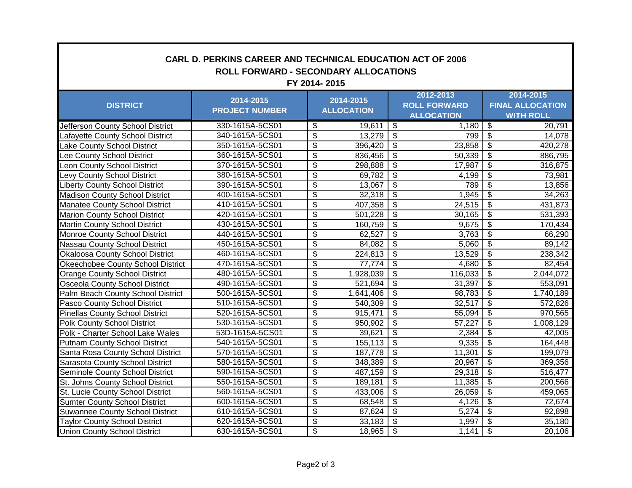| <b>CARL D. PERKINS CAREER AND TECHNICAL EDUCATION ACT OF 2006</b><br><b>ROLL FORWARD - SECONDARY ALLOCATIONS</b><br>FY 2014-2015 |                                    |                                      |                                |                                           |                                                       |                                        |                                                          |  |
|----------------------------------------------------------------------------------------------------------------------------------|------------------------------------|--------------------------------------|--------------------------------|-------------------------------------------|-------------------------------------------------------|----------------------------------------|----------------------------------------------------------|--|
|                                                                                                                                  | 2014-2015<br><b>PROJECT NUMBER</b> |                                      | 2014-2015<br><b>ALLOCATION</b> |                                           | 2012-2013<br><b>ROLL FORWARD</b><br><b>ALLOCATION</b> |                                        | 2014-2015<br><b>FINAL ALLOCATION</b><br><b>WITH ROLL</b> |  |
| <b>DISTRICT</b>                                                                                                                  |                                    |                                      |                                |                                           |                                                       |                                        |                                                          |  |
| Jefferson County School District                                                                                                 | 330-1615A-5CS01                    | \$                                   | 19,611                         | $\boldsymbol{\mathsf{\$}}$                | 1,180                                                 | \$                                     | 20,791                                                   |  |
| Lafayette County School District                                                                                                 | 340-1615A-5CS01                    | $\overline{\mathcal{S}}$             | 13,279                         | $\, \, \raisebox{12pt}{$\scriptstyle \$}$ | 799                                                   | $\overline{\$}$                        | 14,078                                                   |  |
| Lake County School District                                                                                                      | 350-1615A-5CS01                    | $\overline{\mathcal{S}}$             | 396,420                        | $\overline{\mathcal{E}}$                  | 23,858                                                | $\overline{\mathcal{S}}$               | 420,278                                                  |  |
| Lee County School District                                                                                                       | 360-1615A-5CS01                    | $\overline{\mathbf{S}}$              | 836,456                        | $\overline{\$}$                           | 50,339                                                | $\overline{\mathcal{S}}$               | 886,795                                                  |  |
| Leon County School District                                                                                                      | 370-1615A-5CS01                    | \$                                   | 298,888                        | $\overline{\$}$                           | 17,987                                                | $\overline{\$}$                        | 316,875                                                  |  |
| Levy County School District                                                                                                      | 380-1615A-5CS01                    | \$                                   | 69,782                         | \$                                        | 4,199                                                 | $\overline{\mathbf{G}}$                | 73,981                                                   |  |
| <b>Liberty County School District</b>                                                                                            | 390-1615A-5CS01                    | $\overline{\mathcal{S}}$             | 13,067                         | $\overline{\$}$                           | 789                                                   | $\overline{\mathcal{S}}$               | 13,856                                                   |  |
| <b>Madison County School District</b>                                                                                            | 400-1615A-5CS01                    | $\overline{\mathcal{S}}$             | 32,318                         | $\overline{\mathcal{S}}$                  | 1,945                                                 | $\overline{\mathcal{S}}$               | 34,263                                                   |  |
| Manatee County School District                                                                                                   | 410-1615A-5CS01                    | $\overline{\mathbf{S}}$              | 407,358                        | $\overline{\mathbf{S}}$                   | 24,515                                                | $\overline{\mathcal{S}}$               | 431,873                                                  |  |
| <b>Marion County School District</b>                                                                                             | 420-1615A-5CS01                    | $\overline{\mathcal{S}}$             | 501,228                        | \$                                        | 30,165                                                | $\boldsymbol{\hat{\varphi}}$           | 531,393                                                  |  |
| <b>Martin County School District</b>                                                                                             | 430-1615A-5CS01                    | $\overline{\$}$                      | 160,759                        | $\overline{\mathcal{S}}$                  | 9,675                                                 | $\overline{\mathcal{S}}$               | 170,434                                                  |  |
| Monroe County School District                                                                                                    | 440-1615A-5CS01                    | $\overline{\mathbb{S}}$              | 62,527                         | $\overline{\$}$                           | 3,763                                                 | $\overline{\$}$                        | 66,290                                                   |  |
| Nassau County School District                                                                                                    | 450-1615A-5CS01                    | $\overline{\$}$                      | 84,082                         | $\overline{\$}$                           | 5,060                                                 | $\overline{\$}$                        | 89,142                                                   |  |
| Okaloosa County School District                                                                                                  | 460-1615A-5CS01                    | $\overline{\$}$                      | 224,813                        | $\overline{\$}$                           | 13,529                                                | $\overline{\$}$                        | 238,342                                                  |  |
| Okeechobee County School District                                                                                                | 470-1615A-5CS01                    | $\overline{\mathcal{G}}$             | 77,774                         | $\overline{\mathcal{G}}$                  | 4,680                                                 | $\overline{\mathbf{3}}$                | 82,454                                                   |  |
| <b>Orange County School District</b>                                                                                             | 480-1615A-5CS01                    | $\overline{\mathcal{S}}$             | 1,928,039                      | $\overline{\mathcal{G}}$                  | 116,033                                               | $\overline{\mathcal{S}}$               | 2,044,072                                                |  |
| Osceola County School District                                                                                                   | 490-1615A-5CS01                    | \$                                   | 521,694                        | $\overline{\$}$                           | 31,397                                                | $\overline{\$}$                        | 553,091                                                  |  |
| Palm Beach County School District                                                                                                | 500-1615A-5CS01                    | $\overline{\mathbf{S}}$              | 1,641,406                      | $\overline{\mathcal{E}}$                  | 98,783                                                | $\overline{\mathbf{e}}$                | 1,740,189                                                |  |
| Pasco County School District                                                                                                     | 510-1615A-5CS01                    | \$                                   | 540,309                        | \$                                        | 32,517                                                | $\overline{\mathbf{e}}$                | 572,826                                                  |  |
| <b>Pinellas County School District</b>                                                                                           | 520-1615A-5CS01                    | $\overline{\mathcal{S}}$             | 915,471                        | $\overline{\mathcal{E}}$                  | 55,094                                                | $\boldsymbol{\mathsf{S}}$              | 970,565                                                  |  |
| Polk County School District                                                                                                      | 530-1615A-5CS01                    | $\overline{\mathbf{e}}$              | 950,902                        | $\overline{\mathcal{G}}$                  | 57,227                                                | $\overline{\mathcal{S}}$               | 1,008,129                                                |  |
| Polk - Charter School Lake Wales                                                                                                 | 53D-1615A-5CS01                    | $\overline{\$}$                      | 39,621                         | $\overline{\$}$                           | 2,384                                                 | $\overline{\mathbf{e}}$                | 42,005                                                   |  |
| <b>Putnam County School District</b>                                                                                             | 540-1615A-5CS01                    | $\overline{\boldsymbol{\mathsf{s}}}$ | 155,113                        | $\overline{\mathcal{S}}$                  | 9,335                                                 | $\overline{\mathbf{G}}$                | 164,448                                                  |  |
| Santa Rosa County School District                                                                                                | 570-1615A-5CS01                    | $\overline{\mathcal{S}}$             | 187,778                        | $\overline{\mathcal{S}}$                  | 11,301                                                | $\overline{\mathbf{s}}$                | 199,079                                                  |  |
| Sarasota County School District                                                                                                  | 580-1615A-5CS01                    | $\overline{\mathcal{S}}$             | 348,389                        | $\overline{\mathcal{S}}$                  | 20,967                                                | $\overline{\mathbf{s}}$                | 369,356                                                  |  |
| Seminole County School District                                                                                                  | 590-1615A-5CS01                    | \$                                   | 487,159                        | $\overline{\boldsymbol{\mathsf{s}}}$      | 29,318                                                | $\overline{\boldsymbol{\mathfrak{s}}}$ | 516,477                                                  |  |
| St. Johns County School District                                                                                                 | 550-1615A-5CS01                    | \$                                   | 189,181                        | \$                                        | 11,385                                                | \$                                     | 200,566                                                  |  |
| St. Lucie County School District                                                                                                 | 560-1615A-5CS01                    | \$                                   | 433,006                        | \$                                        | 26,059                                                | \$                                     | 459,065                                                  |  |
| <b>Sumter County School District</b>                                                                                             | 600-1615A-5CS01                    | $\overline{\mathcal{S}}$             | 68,548                         | $\overline{\$}$                           | 4,126                                                 | $\overline{\mathcal{S}}$               | 72,674                                                   |  |
| <b>Suwannee County School District</b>                                                                                           | 610-1615A-5CS01                    | $\overline{\$}$                      | 87,624                         | $\overline{\$}$                           | 5,274                                                 | $\overline{\$}$                        | 92,898                                                   |  |
| <b>Taylor County School District</b>                                                                                             | 620-1615A-5CS01                    | \$                                   | 33,183                         | $\overline{\$}$                           | 1,997                                                 | $\overline{\$}$                        | 35,180                                                   |  |
| <b>Union County School District</b>                                                                                              | 630-1615A-5CS01                    | \$                                   | 18,965                         | \$                                        | 1,141                                                 | $\overline{\mathbf{e}}$                | 20,106                                                   |  |